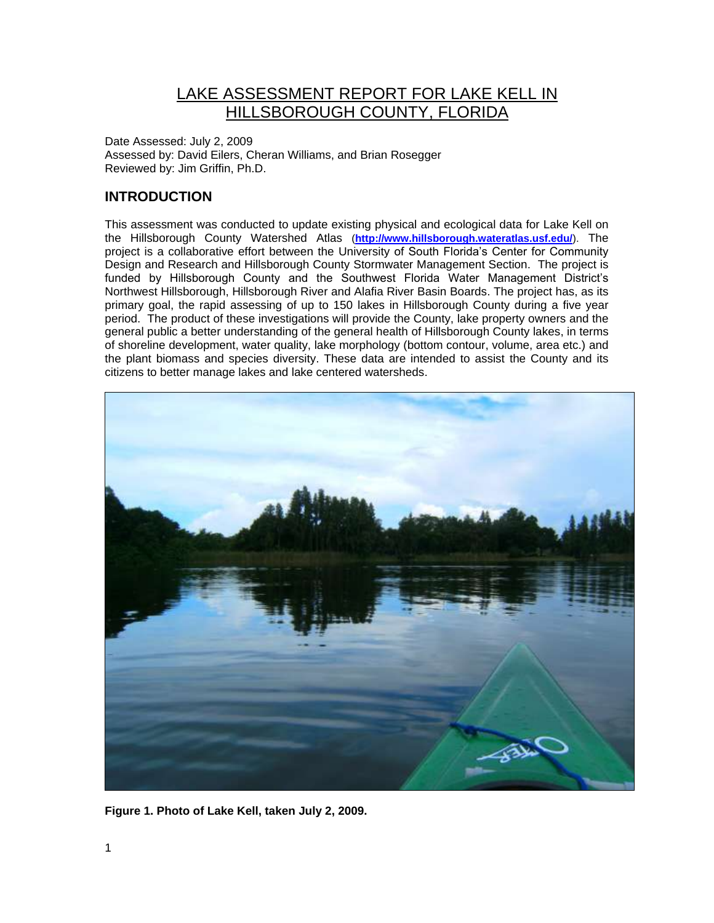# LAKE ASSESSMENT REPORT FOR LAKE KELL IN HILLSBOROUGH COUNTY, FLORIDA

Date Assessed: July 2, 2009 Assessed by: David Eilers, Cheran Williams, and Brian Rosegger Reviewed by: Jim Griffin, Ph.D.

## **INTRODUCTION**

This assessment was conducted to update existing physical and ecological data for Lake Kell on the Hillsborough County Watershed Atlas (**<http://www.hillsborough.wateratlas.usf.edu/>**). The project is a collaborative effort between the University of South Florida's Center for Community Design and Research and Hillsborough County Stormwater Management Section. The project is funded by Hillsborough County and the Southwest Florida Water Management District's Northwest Hillsborough, Hillsborough River and Alafia River Basin Boards. The project has, as its primary goal, the rapid assessing of up to 150 lakes in Hillsborough County during a five year period. The product of these investigations will provide the County, lake property owners and the general public a better understanding of the general health of Hillsborough County lakes, in terms of shoreline development, water quality, lake morphology (bottom contour, volume, area etc.) and the plant biomass and species diversity. These data are intended to assist the County and its citizens to better manage lakes and lake centered watersheds.



**Figure 1. Photo of Lake Kell, taken July 2, 2009.**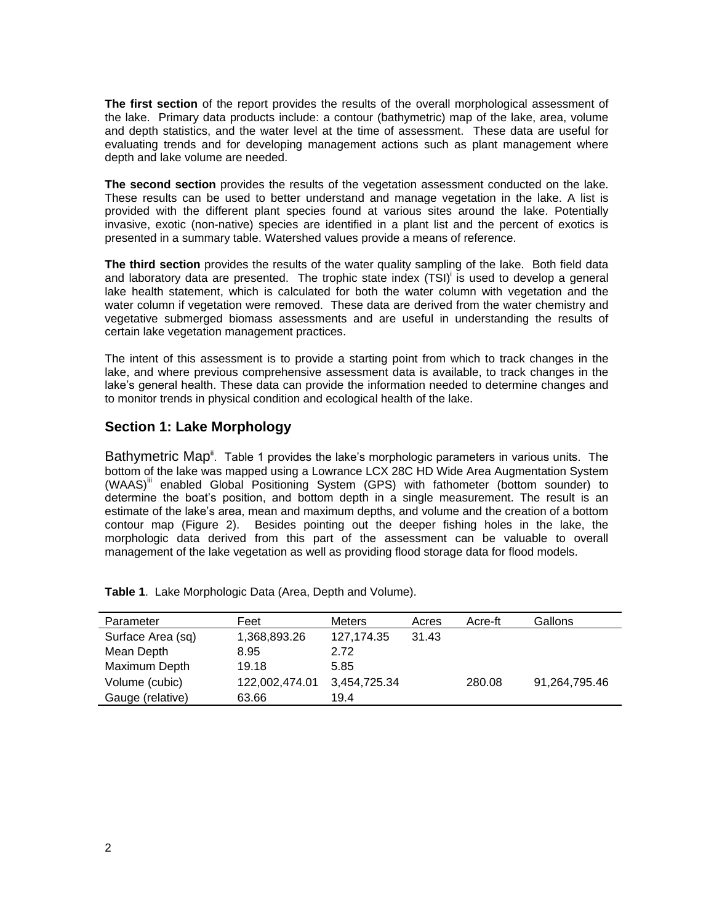**The first section** of the report provides the results of the overall morphological assessment of the lake. Primary data products include: a contour (bathymetric) map of the lake, area, volume and depth statistics, and the water level at the time of assessment. These data are useful for evaluating trends and for developing management actions such as plant management where depth and lake volume are needed.

**The second section** provides the results of the vegetation assessment conducted on the lake. These results can be used to better understand and manage vegetation in the lake. A list is provided with the different plant species found at various sites around the lake. Potentially invasive, exotic (non-native) species are identified in a plant list and the percent of exotics is presented in a summary table. Watershed values provide a means of reference.

**The third section** provides the results of the water quality sampling of the lake. Both field data and laboratory data are presented. The trophic state index (TSI)<sup>i</sup> is used to develop a general lake health statement, which is calculated for both the water column with vegetation and the water column if vegetation were removed. These data are derived from the water chemistry and vegetative submerged biomass assessments and are useful in understanding the results of certain lake vegetation management practices.

The intent of this assessment is to provide a starting point from which to track changes in the lake, and where previous comprehensive assessment data is available, to track changes in the lake's general health. These data can provide the information needed to determine changes and to monitor trends in physical condition and ecological health of the lake.

### **Section 1: Lake Morphology**

Bathymetric Map<sup>ii</sup>. Table 1 provides the lake's morphologic parameters in various units. The bottom of the lake was mapped using a Lowrance LCX 28C HD Wide Area Augmentation System (WAAS)<sup>III</sup> enabled Global Positioning System (GPS) with fathometer (bottom sounder) to determine the boat's position, and bottom depth in a single measurement. The result is an estimate of the lake's area, mean and maximum depths, and volume and the creation of a bottom contour map (Figure 2). Besides pointing out the deeper fishing holes in the lake, the morphologic data derived from this part of the assessment can be valuable to overall management of the lake vegetation as well as providing flood storage data for flood models.

| Parameter         | Feet           | <b>Meters</b> | Acres | Acre-ft | Gallons       |
|-------------------|----------------|---------------|-------|---------|---------------|
| Surface Area (sq) | 1,368,893.26   | 127.174.35    | 31.43 |         |               |
| Mean Depth        | 8.95           | 2.72          |       |         |               |
| Maximum Depth     | 19.18          | 5.85          |       |         |               |
| Volume (cubic)    | 122,002,474.01 | 3,454,725.34  |       | 280.08  | 91,264,795.46 |
| Gauge (relative)  | 63.66          | 19.4          |       |         |               |

**Table 1**. Lake Morphologic Data (Area, Depth and Volume).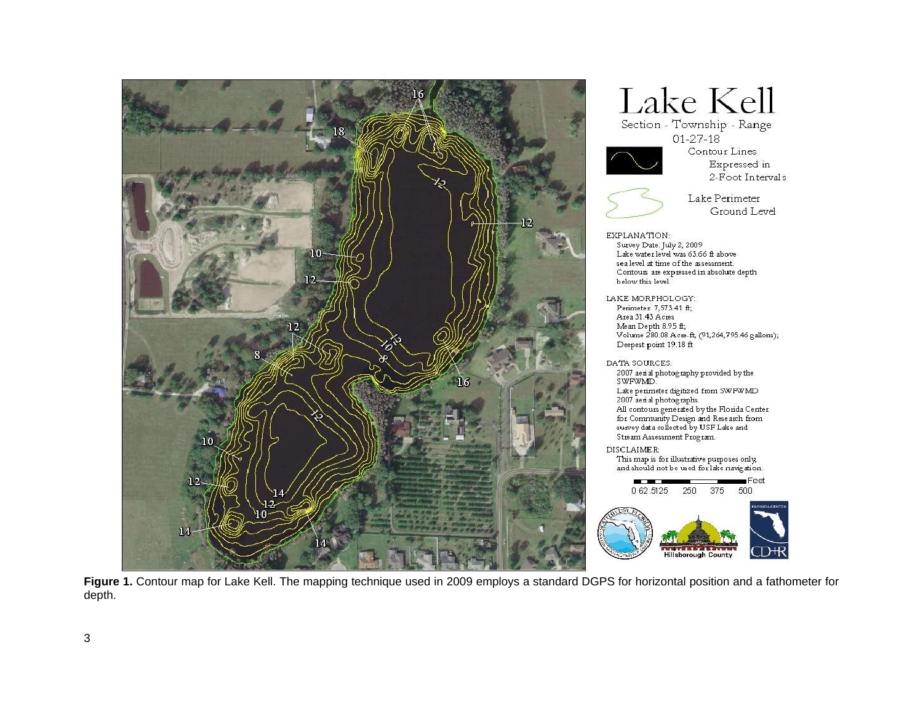

Lake Kell

Section - Township - Range  $01 - 27 - 18$ 



Contour Lines Expressed in 2-Foot Intervals



Lake Perimeter Ground Level

Survey Date: July 2, 2009 Lake water level was 63.66 ft above sea level at time of the assessment. Contours are expressed in absolute depth below this level. LAKE MORPHOLOGY: Perimeter 7,573.41 ft; Area 31.43 Acres Mean Depth 8.95 ft;<br>Volume 280.08 Acre-ft, (91,264,795.46 gallons); Deepest point 19.18 ft

DATA SOURCES:  $2007$ aerial photography provided by the  ${\tt SWFWMD}.$ Lake perimeter digitized from SWFWMD

2007 aerial photographs. All contours generated by the Florida Center<br>for Community Design and Research from<br>survey data collected by USF Lake and Stream Assessment Program.

DISCLAIMER: This map is for illustrative purposes only and should not be used for lake navigation.



**Figure 1.** Contour map for Lake Kell. The mapping technique used in 2009 employs a standard DGPS for horizontal position and a fathometer for depth.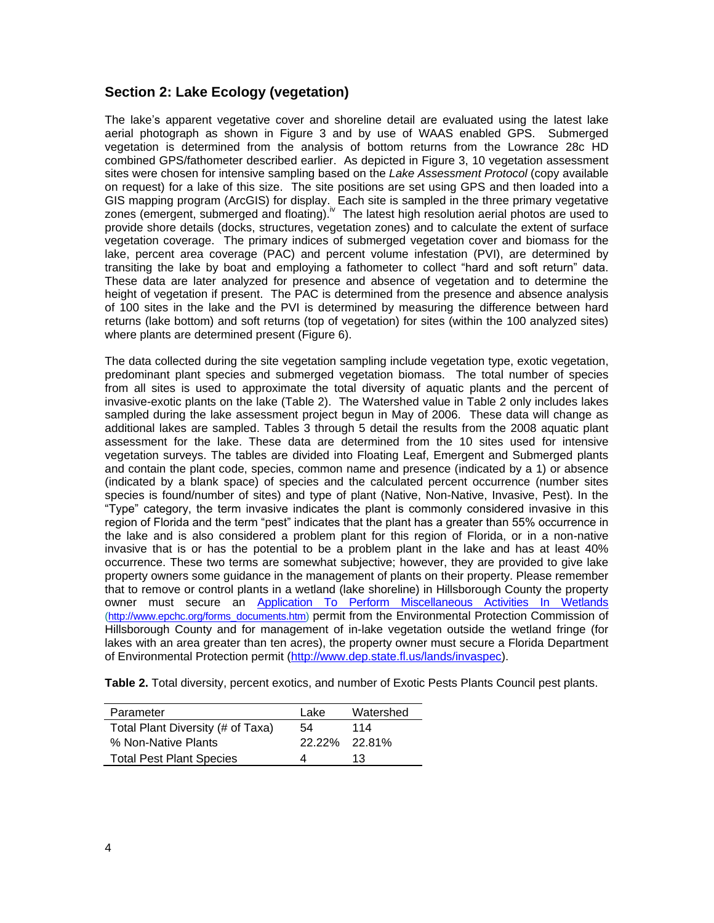### **Section 2: Lake Ecology (vegetation)**

The lake's apparent vegetative cover and shoreline detail are evaluated using the latest lake aerial photograph as shown in Figure 3 and by use of WAAS enabled GPS. Submerged vegetation is determined from the analysis of bottom returns from the Lowrance 28c HD combined GPS/fathometer described earlier. As depicted in Figure 3, 10 vegetation assessment sites were chosen for intensive sampling based on the *Lake Assessment Protocol* (copy available on request) for a lake of this size. The site positions are set using GPS and then loaded into a GIS mapping program (ArcGIS) for display. Each site is sampled in the three primary vegetative zones (emergent, submerged and floating). <sup>Iv</sup> The latest high resolution aerial photos are used to provide shore details (docks, structures, vegetation zones) and to calculate the extent of surface vegetation coverage. The primary indices of submerged vegetation cover and biomass for the lake, percent area coverage (PAC) and percent volume infestation (PVI), are determined by transiting the lake by boat and employing a fathometer to collect "hard and soft return" data. These data are later analyzed for presence and absence of vegetation and to determine the height of vegetation if present. The PAC is determined from the presence and absence analysis of 100 sites in the lake and the PVI is determined by measuring the difference between hard returns (lake bottom) and soft returns (top of vegetation) for sites (within the 100 analyzed sites) where plants are determined present (Figure 6).

The data collected during the site vegetation sampling include vegetation type, exotic vegetation, predominant plant species and submerged vegetation biomass. The total number of species from all sites is used to approximate the total diversity of aquatic plants and the percent of invasive-exotic plants on the lake (Table 2). The Watershed value in Table 2 only includes lakes sampled during the lake assessment project begun in May of 2006. These data will change as additional lakes are sampled. Tables 3 through 5 detail the results from the 2008 aquatic plant assessment for the lake. These data are determined from the 10 sites used for intensive vegetation surveys. The tables are divided into Floating Leaf, Emergent and Submerged plants and contain the plant code, species, common name and presence (indicated by a 1) or absence (indicated by a blank space) of species and the calculated percent occurrence (number sites species is found/number of sites) and type of plant (Native, Non-Native, Invasive, Pest). In the "Type" category, the term invasive indicates the plant is commonly considered invasive in this region of Florida and the term "pest" indicates that the plant has a greater than 55% occurrence in the lake and is also considered a problem plant for this region of Florida, or in a non-native invasive that is or has the potential to be a problem plant in the lake and has at least 40% occurrence. These two terms are somewhat subjective; however, they are provided to give lake property owners some guidance in the management of plants on their property. Please remember that to remove or control plants in a wetland (lake shoreline) in Hillsborough County the property owner must secure an [Application To Perform Miscellaneous Activities In Wetlands](http://www.epchc.org/PDF%20Wetlands%20Forms/MAIW%20application%20for%20all%20types%20of%20impacts%20VIP%20-%20July%202006.pdf) [\(http://www.epchc.org/forms\\_documents.htm\)](http://www.epchc.org/forms_documents.htm) permit from the Environmental Protection Commission of Hillsborough County and for management of in-lake vegetation outside the wetland fringe (for lakes with an area greater than ten acres), the property owner must secure a Florida Department of Environmental Protection permit [\(http://www.dep.state.fl.us/lands/invaspec\)](http://www.dep.state.fl.us/lands/invaspec/).

**Table 2.** Total diversity, percent exotics, and number of Exotic Pests Plants Council pest plants.

| Parameter                         | Lake          | Watershed |
|-----------------------------------|---------------|-----------|
| Total Plant Diversity (# of Taxa) | 54            | 114       |
| % Non-Native Plants               | 22.22% 22.81% |           |
| <b>Total Pest Plant Species</b>   |               | 13        |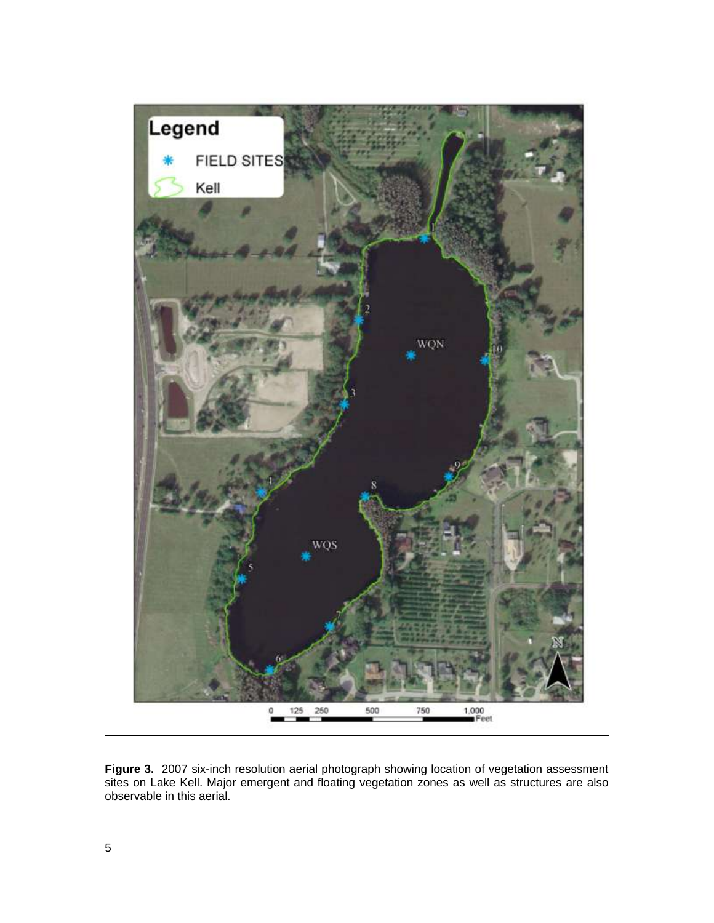

**Figure 3.** 2007 six-inch resolution aerial photograph showing location of vegetation assessment sites on Lake Kell. Major emergent and floating vegetation zones as well as structures are also observable in this aerial.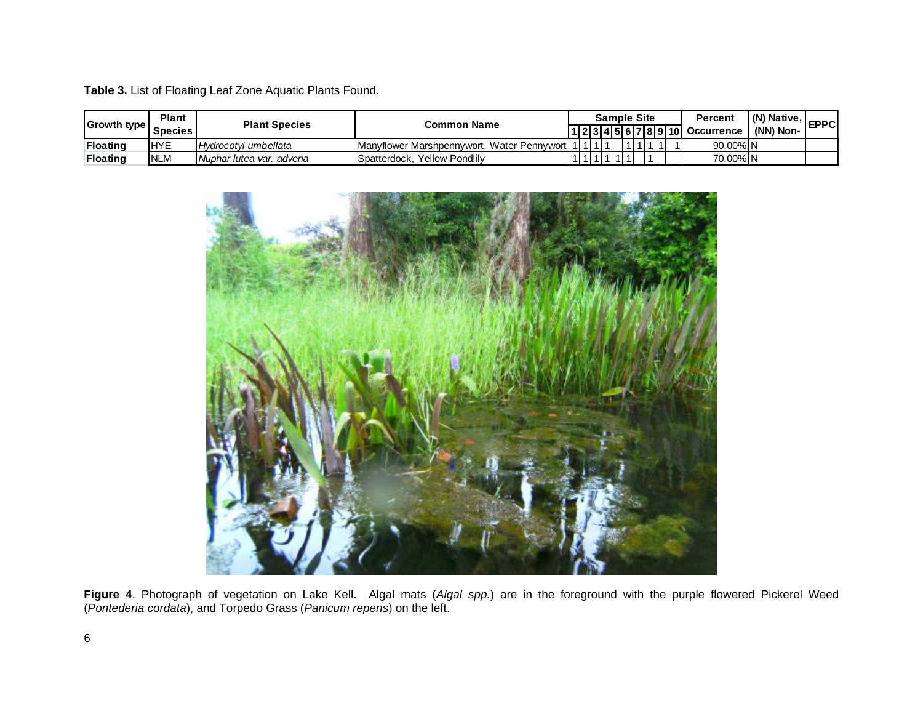**Table 3.** List of Floating Leaf Zone Aquatic Plants Found.

| <b>Growth type</b> | <b>Plant</b><br><b>Species</b> | <b>Plant Species</b>     | <b>Common Name</b>                              |  |  |  | <b>Sample Site</b><br> 1 2 3 4 5 6 7 8 9 10 |  |  | Percent<br>Occurrence   (NN) Non- | $\mathsf{I}(\mathsf{N})$ Native, $\mathsf{I}$ | <b>EPPCI</b> |
|--------------------|--------------------------------|--------------------------|-------------------------------------------------|--|--|--|---------------------------------------------|--|--|-----------------------------------|-----------------------------------------------|--------------|
| <b>Floating</b>    | <b>IHYE</b>                    | Hydrocotyl umbellata     | Manyflower Marshpennywort.<br>, Water Pennywort |  |  |  |                                             |  |  | 90.00% N                          |                                               |              |
| <b>Floating</b>    | <b>NLM</b>                     | Nuphar lutea var. advena | <b>Yellow Pondlily</b><br>ISpatterdock.         |  |  |  |                                             |  |  | 70.00% N                          |                                               |              |



**Figure 4**. Photograph of vegetation on Lake Kell. Algal mats (*Algal spp.*) are in the foreground with the purple flowered Pickerel Weed (*Pontederia cordata*), and Torpedo Grass (*Panicum repens*) on the left.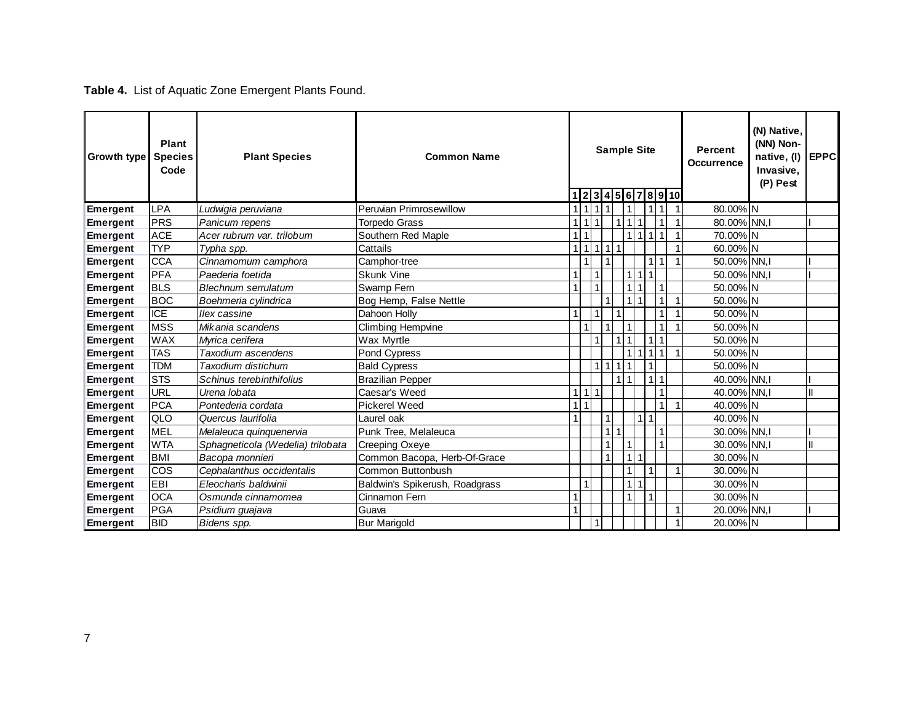# **Table 4.** List of Aquatic Zone Emergent Plants Found.

| Growth type     | Plant<br><b>Species</b><br>Code | <b>Plant Species</b>              | <b>Common Name</b>             |                |     | 1 2 3 4 5 6 7 8 9 10 |     | <b>Sample Site</b>             |                      |                |                |                | <b>Percent</b><br><b>Occurrence</b> | (N) Native,<br>(NN) Non-<br>native, (I)<br>Invasive,<br>(P) Pest | <b>EPPC</b> |
|-----------------|---------------------------------|-----------------------------------|--------------------------------|----------------|-----|----------------------|-----|--------------------------------|----------------------|----------------|----------------|----------------|-------------------------------------|------------------------------------------------------------------|-------------|
| Emergent        | <b>LPA</b>                      | Ludwigia peruviana                | <b>Peruvian Primrosewillow</b> |                |     | 111111               |     | 1                              |                      | 111            |                | $\overline{1}$ | 80.00% N                            |                                                                  |             |
| <b>Emergent</b> | <b>PRS</b>                      | Panicum repens                    | Torpedo Grass                  | $\overline{1}$ | ∣ 1 | $\overline{1}$       |     | 1 <sup>1</sup><br>$\mathbf{1}$ | 1                    |                | $\overline{1}$ |                | 80.00% NN.I                         |                                                                  |             |
| Emergent        | <b>ACE</b>                      | Acer rubrum var. trilobum         | Southern Red Maple             | $\mathbf{1}$   |     |                      |     | 11                             | $\vert$              | $\overline{1}$ | $\overline{1}$ |                | 70.00% N                            |                                                                  |             |
| <b>Emergent</b> | <b>TYP</b>                      | Typha spp.                        | Cattails                       |                |     | 1 1 1 1 1            |     |                                |                      |                |                | 1              | 60.00% N                            |                                                                  |             |
| Emergent        | <b>CCA</b>                      | Cinnamomum camphora               | Camphor-tree                   |                |     |                      |     |                                |                      | 1              | $\overline{1}$ | 1              | 50.00% NN,                          |                                                                  |             |
| Emergent        | <b>PFA</b>                      | Paederia foetida                  | <b>Skunk Vine</b>              | 1              |     |                      |     | 11                             | $\mathbf{1}$         |                |                |                | 50.00% NN.I                         |                                                                  |             |
| Emergent        | <b>BLS</b>                      | Blechnum serrulatum               | Swamp Fern                     | $\overline{1}$ |     | $\mathbf{1}$         |     | 1 <sup>1</sup>                 | $\overline{1}$       |                | $\overline{1}$ |                | 50.00% N                            |                                                                  |             |
| <b>Emergent</b> | <b>BOC</b>                      | Boehmeria cylindrica              | Bog Hemp, False Nettle         |                |     |                      |     | 1 <sup>1</sup>                 | $\mathbf{1}$         |                | $\overline{1}$ | 1              | 50.00% N                            |                                                                  |             |
| <b>Emergent</b> | <b>ICE</b>                      | <b>Ilex</b> cassine               | Dahoon Holly                   |                |     |                      |     |                                |                      |                |                |                | 50.00% N                            |                                                                  |             |
| Emergent        | <b>MSS</b>                      | Mikania scandens                  | <b>Climbing Hempvine</b>       |                |     |                      |     | 1                              |                      |                |                | 1              | 50.00% N                            |                                                                  |             |
| <b>Emergent</b> | <b>WAX</b>                      | Myrica cerifera                   | Wax Myrtle                     |                |     |                      |     | 111                            |                      | $\vert$ 1      | $\overline{1}$ |                | 50.00% N                            |                                                                  |             |
| Emergent        | <b>TAS</b>                      | Taxodium ascendens                | Pond Cypress                   |                |     |                      |     | 1 <sup>1</sup>                 | 1                    | $\mathbf{1}$   | $\overline{1}$ |                | 50.00% N                            |                                                                  |             |
| Emergent        | <b>TDM</b>                      | Taxodium distichum                | <b>Bald Cypress</b>            |                |     | 111111               |     |                                |                      |                |                |                | 50.00% N                            |                                                                  |             |
| Emergent        | <b>STS</b>                      | Schinus terebinthifolius          | <b>Brazilian Pepper</b>        |                |     |                      |     | $\overline{1}$   1             |                      | 111            |                |                | 40.00% NN,                          |                                                                  |             |
| <b>Emergent</b> | <b>URL</b>                      | Urena lobata                      | Caesar's Weed                  | $\overline{1}$ | l 1 | $\overline{11}$      |     |                                |                      |                |                |                | 40.00% NN,                          |                                                                  |             |
| <b>Emergent</b> | <b>PCA</b>                      | Pontederia cordata                | <b>Pickerel Weed</b>           | 1              |     |                      |     |                                |                      |                | $\overline{A}$ | $\mathbf 1$    | 40.00% N                            |                                                                  |             |
| Emergent        | QLO                             | Quercus laurifolia                | Laurel oak                     | 1              |     |                      |     |                                | $\mathbf{1}$         | $\mathbf{1}$   |                |                | 40.00% N                            |                                                                  |             |
| Emergent        | <b>MEL</b>                      | Melaleuca quinquenervia           | Punk Tree, Melaleuca           |                |     |                      | 111 |                                |                      |                |                |                | 30.00% NN,                          |                                                                  |             |
| Emergent        | <b>WTA</b>                      | Sphagneticola (Wedelia) trilobata | Creeping Oxeye                 |                |     |                      |     | 1                              |                      |                | $\overline{1}$ |                | 30.00% NN.I                         |                                                                  |             |
| <b>Emergent</b> | <b>BMI</b>                      | Bacopa monnieri                   | Common Bacopa, Herb-Of-Grace   |                |     |                      |     | 1 <sup>1</sup>                 | $\mathbf{1}$         |                |                |                | 30.00% N                            |                                                                  |             |
| <b>Emergent</b> | COS                             | Cephalanthus occidentalis         | Common Buttonbush              |                |     |                      |     |                                |                      |                |                |                | 30.00% N                            |                                                                  |             |
| <b>Emergent</b> | EBI                             | Eleocharis baldwinii              | Baldwin's Spikerush, Roadgrass |                |     |                      |     | 11                             | $\blacktriangleleft$ |                |                |                | 30.00% N                            |                                                                  |             |
| Emergent        | <b>OCA</b>                      | Osmunda cinnamomea                | Cinnamon Fern                  | 1              |     |                      |     | 1                              |                      | 1              |                |                | 30.00% N                            |                                                                  |             |
| Emergent        | <b>PGA</b>                      | Psidium guajava                   | Guava                          |                |     |                      |     |                                |                      |                |                |                | 20.00% NN,I                         |                                                                  |             |
| Emergent        | <b>BID</b>                      | Bidens spp.                       | <b>Bur Marigold</b>            |                |     |                      |     |                                |                      |                |                |                | 20.00% N                            |                                                                  |             |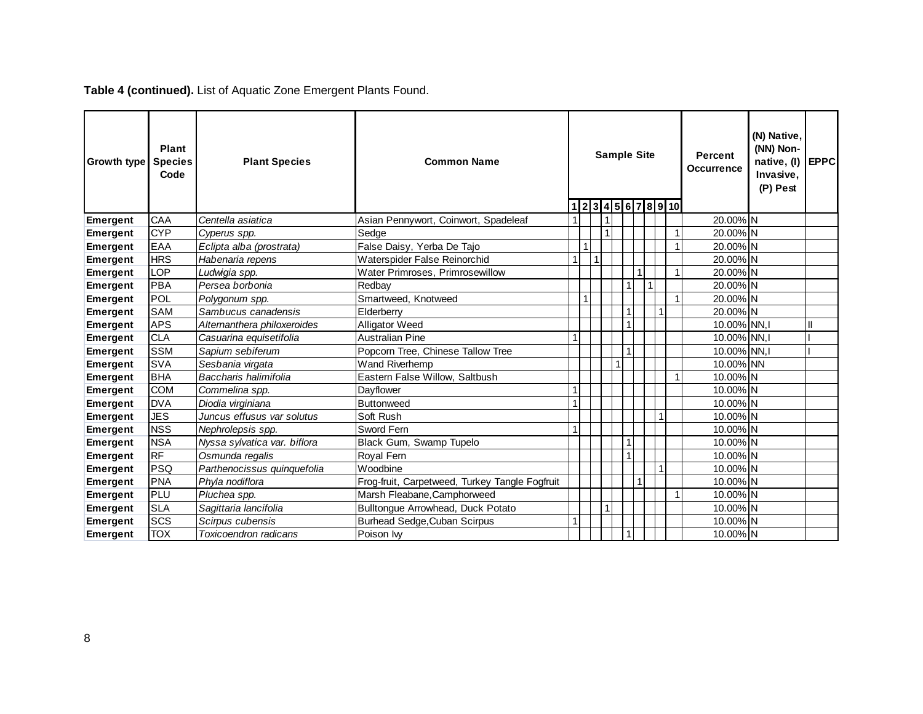**Table 4 (continued).** List of Aquatic Zone Emergent Plants Found.

| Growth type     | Plant<br><b>Species</b><br>Code | <b>Plant Species</b>         | <b>Common Name</b>                             |  | <b>Sample Site</b><br>12345678910 |  |  |   |   |              |  | <b>Percent</b><br><b>Occurrence</b> | (N) Native.<br>(NN) Non-<br>native, (I)<br>Invasive,<br>(P) Pest | <b>EPPC</b> |
|-----------------|---------------------------------|------------------------------|------------------------------------------------|--|-----------------------------------|--|--|---|---|--------------|--|-------------------------------------|------------------------------------------------------------------|-------------|
| <b>Emergent</b> | CAA                             | Centella asiatica            | Asian Pennywort, Coinwort, Spadeleaf           |  |                                   |  |  |   |   |              |  | 20.00% N                            |                                                                  |             |
| <b>Emergent</b> | <b>CYP</b>                      | Cyperus spp.                 | Sedge                                          |  |                                   |  |  |   |   |              |  | 20.00% N                            |                                                                  |             |
| <b>Emergent</b> | EAA                             | Eclipta alba (prostrata)     | False Daisy, Yerba De Tajo                     |  | $\overline{1}$                    |  |  |   |   |              |  | 20.00% N                            |                                                                  |             |
| <b>Emergent</b> | <b>HRS</b>                      | Habenaria repens             | Waterspider False Reinorchid                   |  |                                   |  |  |   |   |              |  | 20.00% N                            |                                                                  |             |
| <b>Emergent</b> | LOP                             | Ludwigia spp.                | Water Primroses, Primrosewillow                |  |                                   |  |  |   |   |              |  | 20.00% N                            |                                                                  |             |
| Emergent        | <b>PBA</b>                      | Persea borbonia              | Redbav                                         |  |                                   |  |  | 1 | 1 |              |  | 20.00% N                            |                                                                  |             |
| <b>Emergent</b> | POL                             | Polygonum spp.               | Smartweed, Knotweed                            |  | -1                                |  |  |   |   |              |  | 20.00% N                            |                                                                  |             |
| <b>Emergent</b> | <b>SAM</b>                      | Sambucus canadensis          | Elderberry                                     |  |                                   |  |  |   |   | 1            |  | 20.00% N                            |                                                                  |             |
| <b>Emergent</b> | APS                             | Alternanthera philoxeroides  | <b>Alligator Weed</b>                          |  |                                   |  |  |   |   |              |  | 10.00% NN.                          |                                                                  | Ш           |
| <b>Emergent</b> | <b>CLA</b>                      | Casuarina equisetifolia      | <b>Australian Pine</b>                         |  |                                   |  |  |   |   |              |  | 10.00% NN.                          |                                                                  |             |
| <b>Emergent</b> | <b>SSM</b>                      | Sapium sebiferum             | Popcorn Tree, Chinese Tallow Tree              |  |                                   |  |  | 1 |   |              |  | 10.00% NN,                          |                                                                  |             |
| <b>Emergent</b> | <b>SVA</b>                      | Sesbania virgata             | <b>Wand Riverhemp</b>                          |  |                                   |  |  |   |   |              |  | 10.00% NN                           |                                                                  |             |
| <b>Emergent</b> | <b>BHA</b>                      | Baccharis halimifolia        | Eastern False Willow, Saltbush                 |  |                                   |  |  |   |   |              |  | 10.00% N                            |                                                                  |             |
| <b>Emergent</b> | <b>COM</b>                      | Commelina spp.               | Dayflower                                      |  |                                   |  |  |   |   |              |  | 10.00% N                            |                                                                  |             |
| <b>Emergent</b> | <b>DVA</b>                      | Diodia virginiana            | Buttonweed                                     |  |                                   |  |  |   |   |              |  | 10.00% N                            |                                                                  |             |
| <b>Emergent</b> | <b>JES</b>                      | Juncus effusus var solutus   | Soft Rush                                      |  |                                   |  |  |   |   |              |  | 10.00% N                            |                                                                  |             |
| <b>Emergent</b> | <b>NSS</b>                      | Nephrolepsis spp.            | Sword Fern                                     |  |                                   |  |  |   |   |              |  | 10.00% N                            |                                                                  |             |
| <b>Emergent</b> | <b>NSA</b>                      | Nyssa sylvatica var. biflora | Black Gum, Swamp Tupelo                        |  |                                   |  |  | 1 |   |              |  | 10.00% N                            |                                                                  |             |
| <b>Emergent</b> | <b>RF</b>                       | Osmunda regalis              | <b>Royal Fern</b>                              |  |                                   |  |  |   |   |              |  | 10.00% N                            |                                                                  |             |
| <b>Emergent</b> | PSQ                             | Parthenocissus quinquefolia  | Woodbine                                       |  |                                   |  |  |   |   | $\mathbf{1}$ |  | 10.00% N                            |                                                                  |             |
| <b>Emergent</b> | <b>PNA</b>                      | Phyla nodiflora              | Frog-fruit, Carpetweed, Turkey Tangle Fogfruit |  |                                   |  |  |   | 1 |              |  | 10.00% N                            |                                                                  |             |
| <b>Emergent</b> | PLU                             | Pluchea spp.                 | Marsh Fleabane, Camphorweed                    |  |                                   |  |  |   |   |              |  | 10.00% N                            |                                                                  |             |
| <b>Emergent</b> | <b>SLA</b>                      | Sagittaria lancifolia        | Bulltongue Arrowhead, Duck Potato              |  |                                   |  |  |   |   |              |  | 10.00% N                            |                                                                  |             |
| Emergent        | SCS                             | Scirpus cubensis             | Burhead Sedge, Cuban Scirpus                   |  |                                   |  |  |   |   |              |  | 10.00% N                            |                                                                  |             |
| <b>Emergent</b> | <b>TOX</b>                      | Toxicoendron radicans        | Poison Iw                                      |  |                                   |  |  |   |   |              |  | 10.00% N                            |                                                                  |             |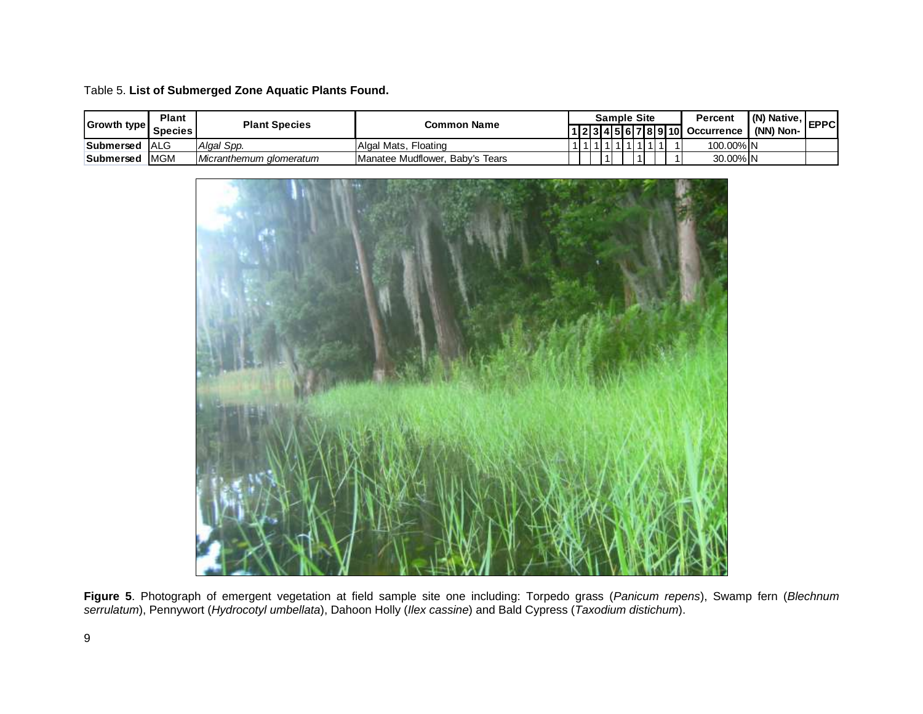#### Table 5. **List of Submerged Zone Aquatic Plants Found.**

| <b>Growth type</b> | <b>Plant</b><br><b>Species</b> | <b>Plant Species</b>    | <b>Common Name</b>                      |  |           |  | <b>Sample Site</b> |  | Percent<br>1 2 3 4 5 6 7 8 9 10  Occurrence | I (N) Native.<br>(NN) Non- | <b>EPPC</b> |
|--------------------|--------------------------------|-------------------------|-----------------------------------------|--|-----------|--|--------------------|--|---------------------------------------------|----------------------------|-------------|
| Submersed          | <b>ALG</b>                     | Algal Spp.              | Algal Mats. Floating                    |  | 111111111 |  |                    |  | 100.00% IN                                  |                            |             |
| Submersed          | <b>MGM</b>                     | Micranthemum glomeratum | <b>IManatee Mudflower. Baby's Tears</b> |  |           |  |                    |  | 30.00% N                                    |                            |             |



**Figure 5**. Photograph of emergent vegetation at field sample site one including: Torpedo grass (*Panicum repens*), Swamp fern (*Blechnum serrulatum*), Pennywort (*Hydrocotyl umbellata*), Dahoon Holly (*Ilex cassine*) and Bald Cypress (*Taxodium distichum*).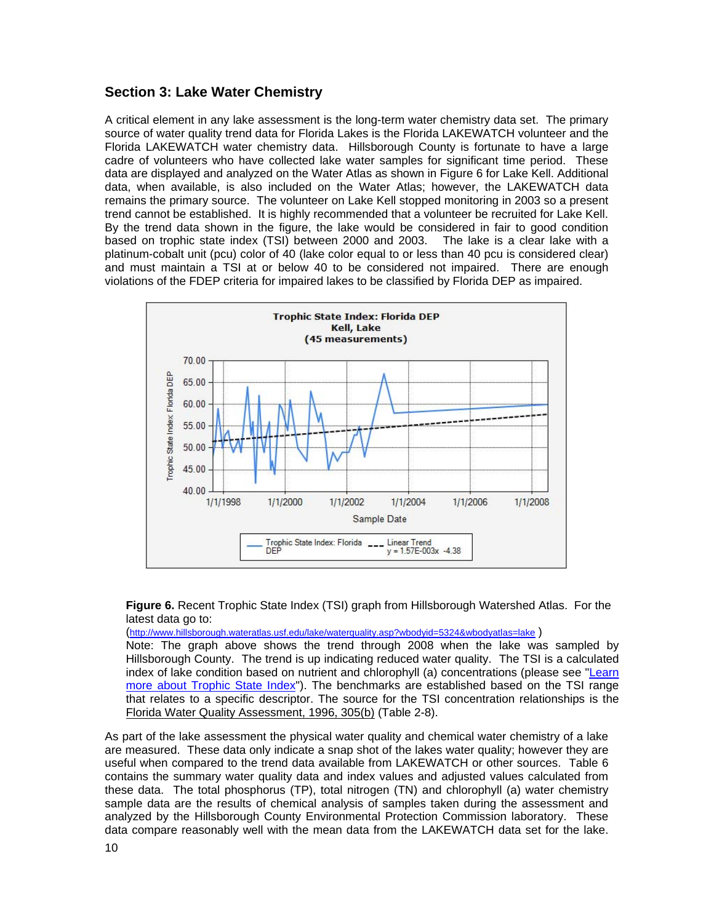### **Section 3: Lake Water Chemistry**

A critical element in any lake assessment is the long-term water chemistry data set. The primary source of water quality trend data for Florida Lakes is the Florida LAKEWATCH volunteer and the Florida LAKEWATCH water chemistry data. Hillsborough County is fortunate to have a large cadre of volunteers who have collected lake water samples for significant time period. These data are displayed and analyzed on the Water Atlas as shown in Figure 6 for Lake Kell. Additional data, when available, is also included on the Water Atlas; however, the LAKEWATCH data remains the primary source. The volunteer on Lake Kell stopped monitoring in 2003 so a present trend cannot be established. It is highly recommended that a volunteer be recruited for Lake Kell. By the trend data shown in the figure, the lake would be considered in fair to good condition based on trophic state index (TSI) between 2000 and 2003. The lake is a clear lake with a platinum-cobalt unit (pcu) color of 40 (lake color equal to or less than 40 pcu is considered clear) and must maintain a TSI at or below 40 to be considered not impaired. There are enough violations of the FDEP criteria for impaired lakes to be classified by Florida DEP as impaired.



#### **Figure 6.** Recent Trophic State Index (TSI) graph from Hillsborough Watershed Atlas. For the latest data go to:

(<http://www.hillsborough.wateratlas.usf.edu/lake/waterquality.asp?wbodyid=5324&wbodyatlas=lake> )

Note: The graph above shows the trend through 2008 when the lake was sampled by Hillsborough County. The trend is up indicating reduced water quality. The TSI is a calculated index of lake condition based on nutrient and chlorophyll (a) concentrations (please see "Learn [more about Trophic State Index"](http://www.hillsborough.wateratlas.usf.edu/shared/learnmore.asp?toolsection=lm_tsi)). The benchmarks are established based on the TSI range that relates to a specific descriptor. The source for the TSI concentration relationships is the Florida Water Quality Assessment, 1996, 305(b) (Table 2-8).

As part of the lake assessment the physical water quality and chemical water chemistry of a lake are measured. These data only indicate a snap shot of the lakes water quality; however they are useful when compared to the trend data available from LAKEWATCH or other sources. Table 6 contains the summary water quality data and index values and adjusted values calculated from these data. The total phosphorus (TP), total nitrogen (TN) and chlorophyll (a) water chemistry sample data are the results of chemical analysis of samples taken during the assessment and analyzed by the Hillsborough County Environmental Protection Commission laboratory. These data compare reasonably well with the mean data from the LAKEWATCH data set for the lake.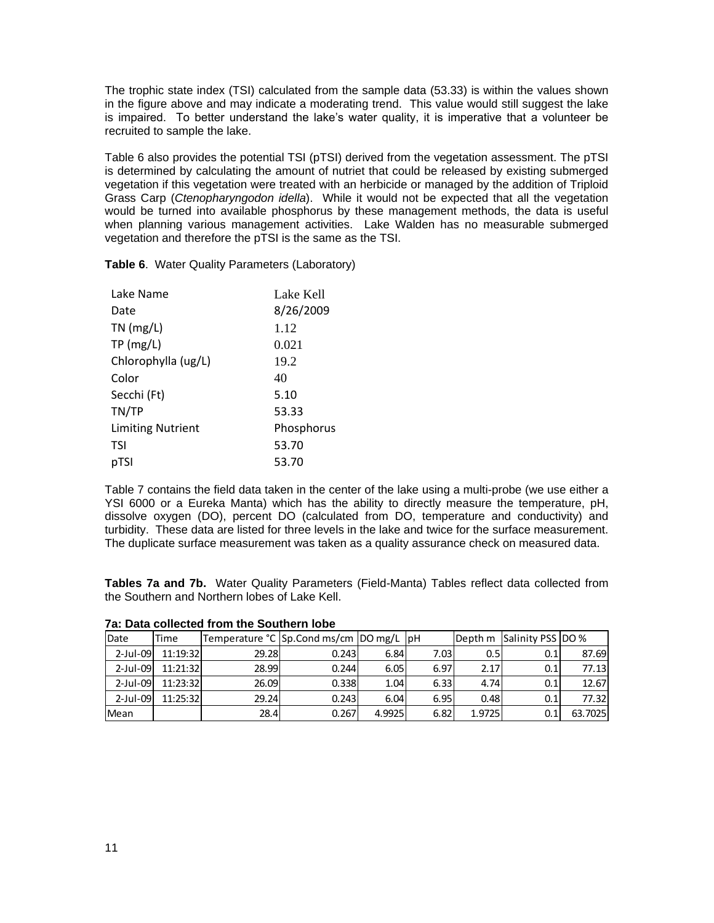The trophic state index (TSI) calculated from the sample data (53.33) is within the values shown in the figure above and may indicate a moderating trend. This value would still suggest the lake is impaired. To better understand the lake's water quality, it is imperative that a volunteer be recruited to sample the lake.

Table 6 also provides the potential TSI (pTSI) derived from the vegetation assessment. The pTSI is determined by calculating the amount of nutriet that could be released by existing submerged vegetation if this vegetation were treated with an herbicide or managed by the addition of Triploid Grass Carp (*Ctenopharyngodon idella*). While it would not be expected that all the vegetation would be turned into available phosphorus by these management methods, the data is useful when planning various management activities. Lake Walden has no measurable submerged vegetation and therefore the pTSI is the same as the TSI.

| Lake Name                | Lake Kell  |
|--------------------------|------------|
| Date                     | 8/26/2009  |
| $TN$ (mg/L)              | 1.12       |
| TP(mg/L)                 | 0.021      |
| Chlorophylla (ug/L)      | 19.2       |
| Color                    | 40         |
| Secchi (Ft)              | 5.10       |
| TN/TP                    | 53.33      |
| <b>Limiting Nutrient</b> | Phosphorus |
| TSI                      | 53.70      |
| pTSI                     | 53.70      |

**Table 6**. Water Quality Parameters (Laboratory)

Table 7 contains the field data taken in the center of the lake using a multi-probe (we use either a YSI 6000 or a Eureka Manta) which has the ability to directly measure the temperature, pH, dissolve oxygen (DO), percent DO (calculated from DO, temperature and conductivity) and turbidity. These data are listed for three levels in the lake and twice for the surface measurement. The duplicate surface measurement was taken as a quality assurance check on measured data.

**Tables 7a and 7b.** Water Quality Parameters (Field-Manta) Tables reflect data collected from the Southern and Northern lobes of Lake Kell.

| Date        | lTime    |       | Temperature °C Sp.Cond ms/cm DO mg/L  pH |        |      | Depth m | Salinity PSS IDO % |         |
|-------------|----------|-------|------------------------------------------|--------|------|---------|--------------------|---------|
| $2$ -Jul-09 | 11:19:32 | 29.28 | 0.243                                    | 6.84   | 7.03 | 0.51    | 0.1                | 87.69   |
| $2$ -Jul-09 | 11:21:32 | 28.99 | 0.244                                    | 6.05   | 6.97 | 2.17    | 0.1                | 77.13   |
| $2$ -Jul-09 | 11:23:32 | 26.09 | 0.338                                    | 1.04   | 6.33 | 4.74    | 0.1                | 12.67   |
| $2$ -Jul-09 | 11:25:32 | 29.24 | 0.243                                    | 6.04   | 6.95 | 0.48    | 0.1                | 77.32   |
| Mean        |          | 28.4  | 0.267                                    | 4.9925 | 6.82 | 1.9725  | 0.1                | 63.7025 |

**7a: Data collected from the Southern lobe**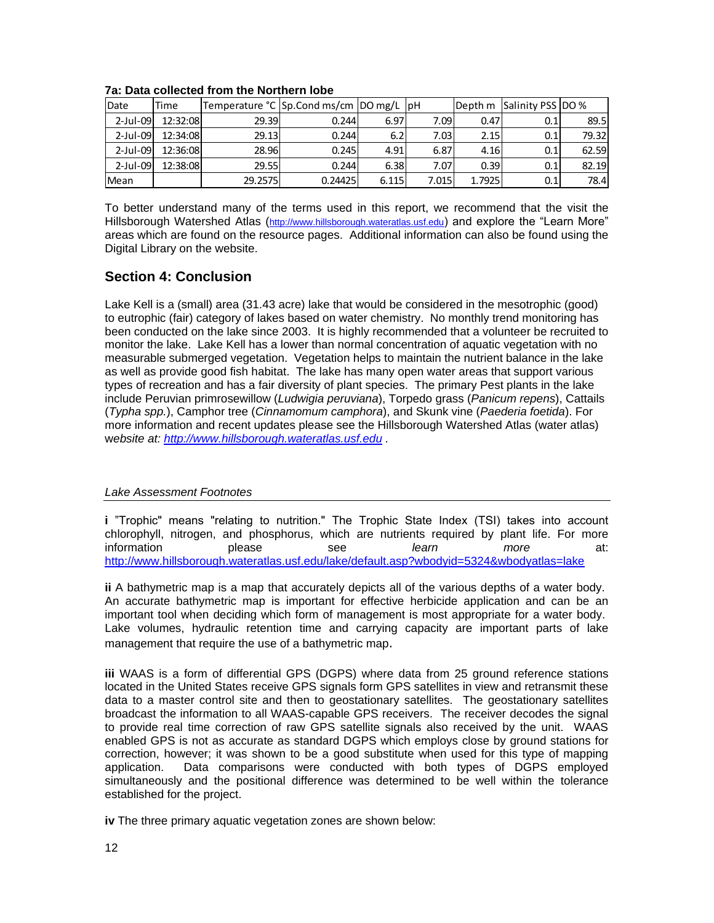| Date        | Time     |         | Temperature °C Sp.Cond ms/cm DO mg/L  pH |       |       |        | Depth m Salinity PSS DO % |       |
|-------------|----------|---------|------------------------------------------|-------|-------|--------|---------------------------|-------|
| $2$ -Jul-09 | 12:32:08 | 29.39   | 0.244                                    | 6.97  | 7.09  | 0.47   | 0.1                       | 89.5  |
| $2$ -Jul-09 | 12:34:08 | 29.13   | 0.244                                    | 6.2   | 7.03  | 2.15   | 0.1                       | 79.32 |
| $2$ -Jul-09 | 12:36:08 | 28.96   | 0.245                                    | 4.91  | 6.87  | 4.16   | 0.1                       | 62.59 |
| $2$ -Jul-09 | 12:38:08 | 29.55   | 0.244                                    | 6.38  | 7.07  | 0.39   | 0.1                       | 82.19 |
| Mean        |          | 29.2575 | 0.24425                                  | 6.115 | 7.015 | 1.7925 | 0.1                       | 78.4  |

#### **7a: Data collected from the Northern lobe**

To better understand many of the terms used in this report, we recommend that the visit the Hillsborough Watershed Atlas ([http://www.hillsborough.wateratlas.usf.edu](http://www.hillsborough.wateratlas.usf.edu/)) and explore the "Learn More" areas which are found on the resource pages. Additional information can also be found using the Digital Library on the website.

### **Section 4: Conclusion**

Lake Kell is a (small) area (31.43 acre) lake that would be considered in the mesotrophic (good) to eutrophic (fair) category of lakes based on water chemistry. No monthly trend monitoring has been conducted on the lake since 2003. It is highly recommended that a volunteer be recruited to monitor the lake. Lake Kell has a lower than normal concentration of aquatic vegetation with no measurable submerged vegetation. Vegetation helps to maintain the nutrient balance in the lake as well as provide good fish habitat. The lake has many open water areas that support various types of recreation and has a fair diversity of plant species. The primary Pest plants in the lake include Peruvian primrosewillow (*Ludwigia peruviana*), Torpedo grass (*Panicum repens*), Cattails (*Typha spp.*), Camphor tree (*Cinnamomum camphora*), and Skunk vine (*Paederia foetida*). For more information and recent updates please see the Hillsborough Watershed Atlas (water atlas) w*ebsite at: [http://www.hillsborough.wateratlas.usf.edu](http://www.hillsborough.wateratlas.usf.edu/) .* 

#### *Lake Assessment Footnotes*

**i** "Trophic" means "relating to nutrition." The Trophic State Index (TSI) takes into account chlorophyll, nitrogen, and phosphorus, which are nutrients required by plant life. For more information please see *learn more* at: <http://www.hillsborough.wateratlas.usf.edu/lake/default.asp?wbodyid=5324&wbodyatlas=lake>

**ii** A bathymetric map is a map that accurately depicts all of the various depths of a water body. An accurate bathymetric map is important for effective herbicide application and can be an important tool when deciding which form of management is most appropriate for a water body. Lake volumes, hydraulic retention time and carrying capacity are important parts of lake management that require the use of a bathymetric map.

**iii** WAAS is a form of differential GPS (DGPS) where data from 25 ground reference stations located in the United States receive GPS signals form GPS satellites in view and retransmit these data to a master control site and then to geostationary satellites. The geostationary satellites broadcast the information to all WAAS-capable GPS receivers. The receiver decodes the signal to provide real time correction of raw GPS satellite signals also received by the unit. WAAS enabled GPS is not as accurate as standard DGPS which employs close by ground stations for correction, however; it was shown to be a good substitute when used for this type of mapping application. Data comparisons were conducted with both types of DGPS employed simultaneously and the positional difference was determined to be well within the tolerance established for the project.

**iv** The three primary aquatic vegetation zones are shown below: